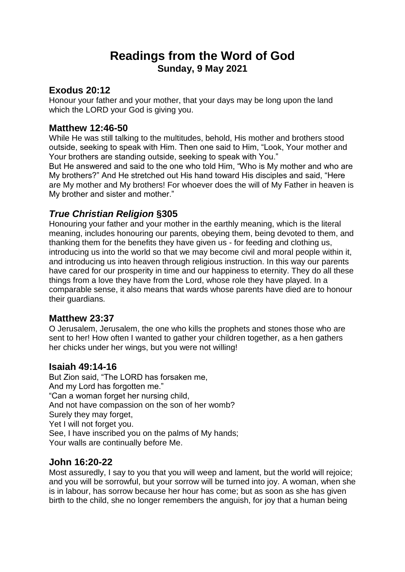# **Readings from the Word of God Sunday, 9 May 2021**

# **Exodus 20:12**

Honour your father and your mother, that your days may be long upon the land which the LORD your God is giving you.

## **Matthew 12:46-50**

While He was still talking to the multitudes, behold, His mother and brothers stood outside, seeking to speak with Him. Then one said to Him, "Look, Your mother and Your brothers are standing outside, seeking to speak with You."

But He answered and said to the one who told Him, "Who is My mother and who are My brothers?" And He stretched out His hand toward His disciples and said, "Here are My mother and My brothers! For whoever does the will of My Father in heaven is My brother and sister and mother."

# *True Christian Religion* **§305**

Honouring your father and your mother in the earthly meaning, which is the literal meaning, includes honouring our parents, obeying them, being devoted to them, and thanking them for the benefits they have given us - for feeding and clothing us, introducing us into the world so that we may become civil and moral people within it, and introducing us into heaven through religious instruction. In this way our parents have cared for our prosperity in time and our happiness to eternity. They do all these things from a love they have from the Lord, whose role they have played. In a comparable sense, it also means that wards whose parents have died are to honour their guardians.

### **Matthew 23:37**

O Jerusalem, Jerusalem, the one who kills the prophets and stones those who are sent to her! How often I wanted to gather your children together, as a hen gathers her chicks under her wings, but you were not willing!

### **Isaiah 49:14-16**

But Zion said, "The LORD has forsaken me, And my Lord has forgotten me." "Can a woman forget her nursing child, And not have compassion on the son of her womb? Surely they may forget, Yet I will not forget you. See, I have inscribed you on the palms of My hands; Your walls are continually before Me.

### **John 16:20-22**

Most assuredly, I say to you that you will weep and lament, but the world will rejoice; and you will be sorrowful, but your sorrow will be turned into joy. A woman, when she is in labour, has sorrow because her hour has come; but as soon as she has given birth to the child, she no longer remembers the anguish, for joy that a human being